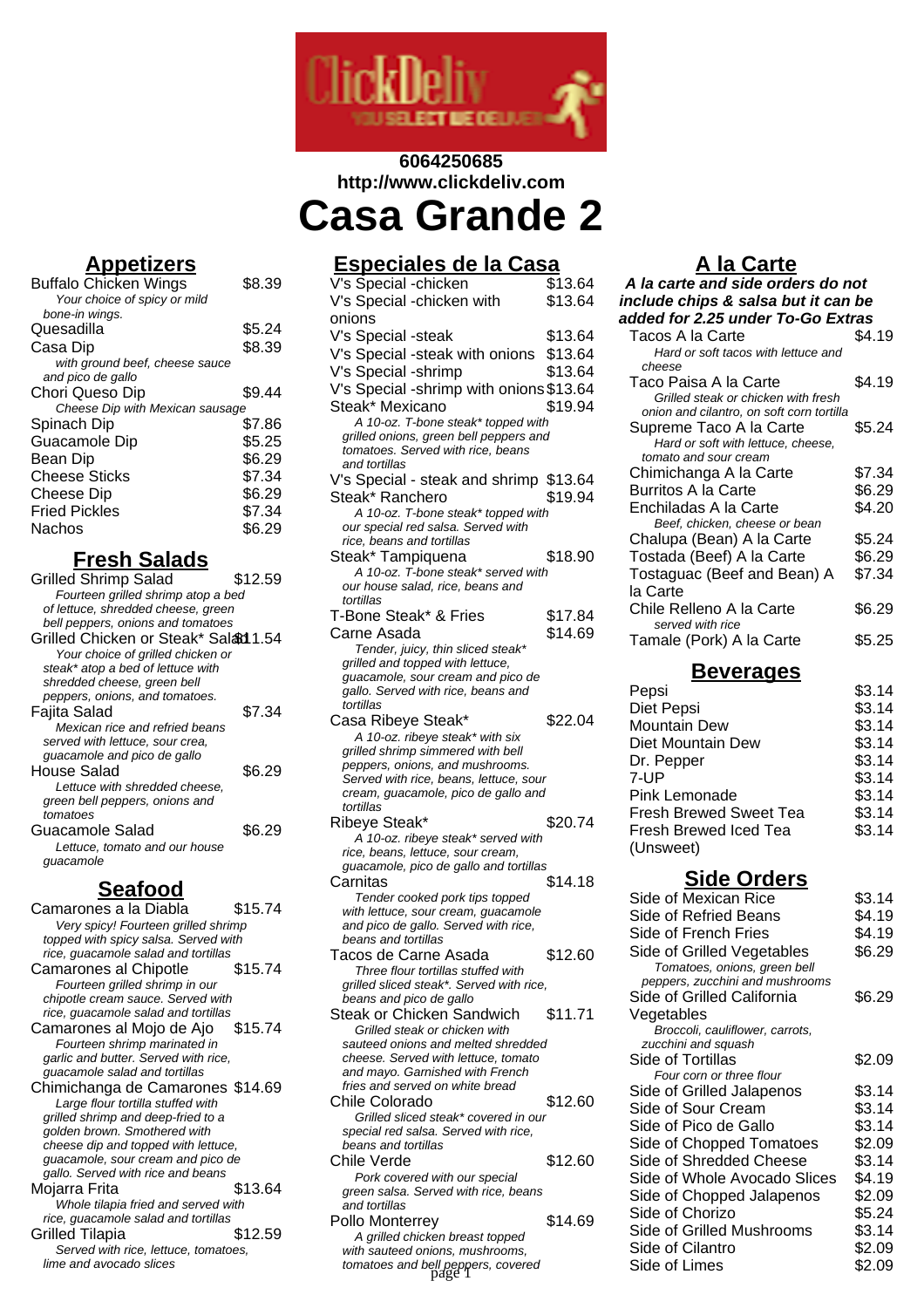

# **6064250685 http://www.clickdeliv.com Casa Grande 2**

**Appetizers**

| <u>APPELIZEI S</u>              |        |
|---------------------------------|--------|
| <b>Buffalo Chicken Wings</b>    | \$8.39 |
| Your choice of spicy or mild    |        |
| bone-in wings.                  |        |
| Quesadilla                      | \$5.24 |
| Casa Dip                        | \$8.39 |
| with ground beef, cheese sauce  |        |
| and pico de gallo               |        |
| Chori Queso Dip                 | \$9.44 |
| Cheese Dip with Mexican sausage |        |
| Spinach Dip                     | \$7.86 |
| Guacamole Dip                   | \$5.25 |
| Bean Dip                        | \$6.29 |
| <b>Cheese Sticks</b>            | \$7.34 |
| Cheese Dip                      | \$6.29 |
| <b>Fried Pickles</b>            | \$7.34 |
| Nachos                          | \$6.29 |
|                                 |        |

# **Fresh Salads**

| <b>Grilled Shrimp Salad</b>                | \$12.59 |
|--------------------------------------------|---------|
| Fourteen grilled shrimp atop a bed         |         |
| of lettuce, shredded cheese, green         |         |
| bell peppers, onions and tomatoes          |         |
| Grilled Chicken or Steak* Salad 1.54       |         |
| Your choice of grilled chicken or          |         |
| steak* atop a bed of lettuce with          |         |
| shredded cheese, green bell                |         |
| peppers, onions, and tomatoes.             |         |
| Fajita Salad                               | \$7.34  |
| Mexican rice and refried beans             |         |
| served with lettuce, sour crea,            |         |
| guacamole and pico de gallo                |         |
| House Salad                                | \$6.29  |
| Lettuce with shredded cheese,              |         |
| green bell peppers, onions and<br>tomatoes |         |
|                                            |         |
| Guacamole Salad                            | \$6.29  |
| Lettuce, tomato and our house<br>guacamole |         |
|                                            |         |
| <b>Seafood</b>                             |         |
| Camarones a la Diabla                      | \$15.74 |
|                                            |         |

Very spicy! Fourteen grilled shrimp topped with spicy salsa. Served with rice, guacamole salad and tortillas Camarones al Chipotle \$15.74 Fourteen grilled shrimp in our chipotle cream sauce. Served with rice, guacamole salad and tortillas<br>amarones al Mojo de Ajo \$15.74 Camarones al Mojo de Ajo Fourteen shrimp marinated in garlic and butter. Served with rice, guacamole salad and tortillas Chimichanga de Camarones \$14.69 Large flour tortilla stuffed with grilled shrimp and deep-fried to a golden brown. Smothered with cheese dip and topped with lettuce, guacamole, sour cream and pico de gallo. Served with rice and beans Mojarra Frita \$13.64 Whole tilapia fried and served with rice, guacamole salad and tortillas Grilled Tilapia **\$12.59** Served with rice, lettuce, tomatoes, lime and avocado slices

# **Especiales de la Casa**

| V's Special -chicken                                                        | \$13.64 |
|-----------------------------------------------------------------------------|---------|
| V's Special -chicken with                                                   | \$13.64 |
| onions                                                                      |         |
| V's Special -steak                                                          | \$13.64 |
| V's Special -steak with onions \$13.64                                      |         |
| V's Special -shrimp                                                         | \$13.64 |
| V's Special -shrimp with onions \$13.64                                     |         |
| Steak* Mexicano                                                             | \$19.94 |
| A 10-oz. T-bone steak* topped with                                          |         |
| grilled onions, green bell peppers and                                      |         |
| tomatoes. Served with rice, beans                                           |         |
| and tortillas                                                               |         |
| V's Special - steak and shrimp \$13.64                                      |         |
| Steak* Ranchero                                                             | \$19.94 |
| A 10-oz. T-bone steak* topped with<br>our special red salsa. Served with    |         |
| rice, beans and tortillas                                                   |         |
| Steak* Tampiquena                                                           | \$18.90 |
| A 10-oz. T-bone steak* served with                                          |         |
| our house salad, rice, beans and                                            |         |
| tortillas                                                                   |         |
| T-Bone Steak* & Fries                                                       | \$17.84 |
| Carne Asada                                                                 | \$14.69 |
| Tender, juicy, thin sliced steak*                                           |         |
| grilled and topped with lettuce,<br>guacamole, sour cream and pico de       |         |
| gallo. Served with rice, beans and                                          |         |
| tortillas                                                                   |         |
| Casa Ribeye Steak*                                                          | \$22.04 |
| A 10-oz. ribeye steak* with six                                             |         |
| grilled shrimp simmered with bell                                           |         |
|                                                                             |         |
| peppers, onions, and mushrooms.                                             |         |
| Served with rice, beans, lettuce, sour                                      |         |
| cream, guacamole, pico de gallo and<br>tortillas                            |         |
| Ribeye Steak*                                                               | \$20.74 |
| A 10-oz. ribeye steak* served with                                          |         |
| rice, beans, lettuce, sour cream,                                           |         |
| guacamole, pico de gallo and tortillas                                      |         |
| Carnitas                                                                    | \$14.18 |
| Tender cooked pork tips topped                                              |         |
| with lettuce, sour cream, guacamole<br>and pico de gallo. Served with rice, |         |
| beans and tortillas                                                         |         |
| Tacos de Carne Asada                                                        | \$12.60 |
| Three flour tortillas stuffed with                                          |         |
| grilled sliced steak*. Served with rice,                                    |         |
| beans and pico de gallo                                                     |         |
| Steak or Chicken Sandwich                                                   | \$11.71 |
| Grilled steak or chicken with<br>sauteed onions and melted shredded         |         |
| cheese. Served with lettuce, tomato                                         |         |
| and mayo. Garnished with French                                             |         |
| fries and served on white bread                                             |         |
| Chile Colorado                                                              | \$12.60 |
| Grilled sliced steak* covered in our                                        |         |
| special red salsa. Served with rice,<br>beans and tortillas                 |         |
| Chile Verde                                                                 | \$12.60 |
| Pork covered with our special                                               |         |
| green salsa. Served with rice, beans                                        |         |
| and tortillas                                                               |         |
| Pollo Monterrey                                                             | \$14.69 |
| A grilled chicken breast topped<br>with sauteed onions, mushrooms,          |         |

# **A la Carte**

| A la carte and side orders do not                           |        |  |
|-------------------------------------------------------------|--------|--|
| include chips & salsa but it can be                         |        |  |
| added for 2.25 under To-Go Extras                           |        |  |
| Tacos A la Carte                                            | \$4.19 |  |
| Hard or soft tacos with lettuce and                         |        |  |
| cheese                                                      |        |  |
| Taco Paisa A la Carte                                       | \$4.19 |  |
| Grilled steak or chicken with fresh                         |        |  |
| onion and cilantro, on soft corn tortilla                   |        |  |
| Supreme Taco A la Carte                                     | \$5.24 |  |
| Hard or soft with lettuce, cheese,<br>tomato and sour cream |        |  |
| Chimichanga A la Carte                                      | \$7.34 |  |
| Burritos A la Carte                                         | \$6.29 |  |
| Enchiladas A la Carte                                       | \$4.20 |  |
| Beef, chicken, cheese or bean                               |        |  |
| Chalupa (Bean) A la Carte                                   | \$5.24 |  |
| Tostada (Beef) A la Carte                                   | \$6.29 |  |
| Tostaguac (Beef and Bean) A                                 | \$7.34 |  |
| la Carte                                                    |        |  |
| Chile Relleno A la Carte                                    | \$6.29 |  |
| served with rice                                            |        |  |
| Tamale (Pork) A la Carte                                    | \$5.25 |  |
|                                                             |        |  |
| Beverades                                                   |        |  |

| -<br>יטושוט                   |        |
|-------------------------------|--------|
| Pepsi                         | \$3.14 |
| Diet Pepsi                    | \$3.14 |
| Mountain Dew                  | \$3.14 |
| Diet Mountain Dew             | \$3.14 |
| Dr. Pepper                    | \$3.14 |
| 7-UP                          | \$3.14 |
| Pink Lemonade                 | \$3.14 |
| <b>Fresh Brewed Sweet Tea</b> | \$3.14 |
| Fresh Brewed Iced Tea         | \$3.14 |
| (Unsweet)                     |        |
|                               |        |

### **Side Orders**

|         | _______                                                                                                                                                                                                                                                                                                                       |                                                                                                                                                                                                                                                                                                                                                                                                                                                                             |
|---------|-------------------------------------------------------------------------------------------------------------------------------------------------------------------------------------------------------------------------------------------------------------------------------------------------------------------------------|-----------------------------------------------------------------------------------------------------------------------------------------------------------------------------------------------------------------------------------------------------------------------------------------------------------------------------------------------------------------------------------------------------------------------------------------------------------------------------|
|         | Side of Mexican Rice                                                                                                                                                                                                                                                                                                          | \$3.14                                                                                                                                                                                                                                                                                                                                                                                                                                                                      |
|         |                                                                                                                                                                                                                                                                                                                               | \$4.19                                                                                                                                                                                                                                                                                                                                                                                                                                                                      |
|         |                                                                                                                                                                                                                                                                                                                               | \$4.19                                                                                                                                                                                                                                                                                                                                                                                                                                                                      |
|         |                                                                                                                                                                                                                                                                                                                               |                                                                                                                                                                                                                                                                                                                                                                                                                                                                             |
|         | Tomatoes, onions, green bell                                                                                                                                                                                                                                                                                                  | \$6.29                                                                                                                                                                                                                                                                                                                                                                                                                                                                      |
|         |                                                                                                                                                                                                                                                                                                                               | \$6.29                                                                                                                                                                                                                                                                                                                                                                                                                                                                      |
|         |                                                                                                                                                                                                                                                                                                                               |                                                                                                                                                                                                                                                                                                                                                                                                                                                                             |
|         | Broccoli, cauliflower, carrots,                                                                                                                                                                                                                                                                                               |                                                                                                                                                                                                                                                                                                                                                                                                                                                                             |
|         |                                                                                                                                                                                                                                                                                                                               | \$2.09                                                                                                                                                                                                                                                                                                                                                                                                                                                                      |
|         |                                                                                                                                                                                                                                                                                                                               |                                                                                                                                                                                                                                                                                                                                                                                                                                                                             |
|         |                                                                                                                                                                                                                                                                                                                               | \$3.14                                                                                                                                                                                                                                                                                                                                                                                                                                                                      |
|         |                                                                                                                                                                                                                                                                                                                               |                                                                                                                                                                                                                                                                                                                                                                                                                                                                             |
|         |                                                                                                                                                                                                                                                                                                                               | \$3.14                                                                                                                                                                                                                                                                                                                                                                                                                                                                      |
|         |                                                                                                                                                                                                                                                                                                                               | \$3.14                                                                                                                                                                                                                                                                                                                                                                                                                                                                      |
|         |                                                                                                                                                                                                                                                                                                                               | \$2.09                                                                                                                                                                                                                                                                                                                                                                                                                                                                      |
| \$12.60 | Side of Shredded Cheese                                                                                                                                                                                                                                                                                                       | \$3.14                                                                                                                                                                                                                                                                                                                                                                                                                                                                      |
|         |                                                                                                                                                                                                                                                                                                                               | \$4.19                                                                                                                                                                                                                                                                                                                                                                                                                                                                      |
|         |                                                                                                                                                                                                                                                                                                                               | \$2.09                                                                                                                                                                                                                                                                                                                                                                                                                                                                      |
|         |                                                                                                                                                                                                                                                                                                                               |                                                                                                                                                                                                                                                                                                                                                                                                                                                                             |
| \$14.69 |                                                                                                                                                                                                                                                                                                                               | \$5.24                                                                                                                                                                                                                                                                                                                                                                                                                                                                      |
|         |                                                                                                                                                                                                                                                                                                                               | \$3.14                                                                                                                                                                                                                                                                                                                                                                                                                                                                      |
|         |                                                                                                                                                                                                                                                                                                                               | \$2.09                                                                                                                                                                                                                                                                                                                                                                                                                                                                      |
|         | Side of Limes                                                                                                                                                                                                                                                                                                                 | \$2.09                                                                                                                                                                                                                                                                                                                                                                                                                                                                      |
|         | with lettuce, sour cream, guacamole<br>\$12.60<br>grilled sliced steak*. Served with rice,<br>\$11.71<br>sauteed onions and melted shredded<br>cheese. Served with lettuce, tomato<br>\$12.60<br>Grilled sliced steak* covered in our<br>green salsa. Served with rice, beans<br>tomatoes and bell peppers, covered<br>page 1 | Side of Refried Beans<br>Side of French Fries<br>Side of Grilled Vegetables<br>peppers, zucchini and mushrooms<br>Side of Grilled California<br>Vegetables<br>zucchini and squash<br>Side of Tortillas<br>Four corn or three flour<br>Side of Grilled Jalapenos<br>Side of Sour Cream<br>Side of Pico de Gallo<br>Side of Chopped Tomatoes<br>Side of Whole Avocado Slices<br>Side of Chopped Jalapenos<br>Side of Chorizo<br>Side of Grilled Mushrooms<br>Side of Cilantro |